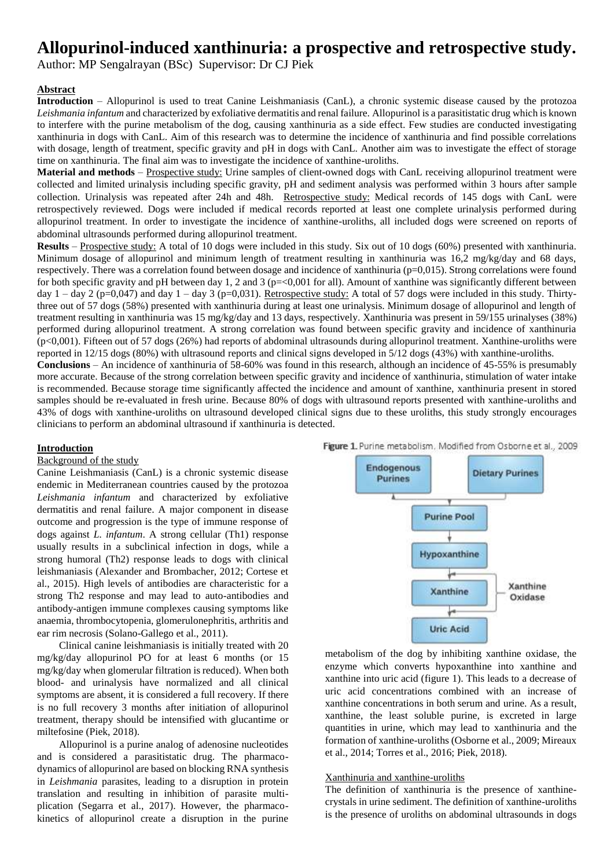# **Allopurinol-induced xanthinuria: a prospective and retrospective study.**

Author: MP Sengalrayan (BSc) Supervisor: Dr CJ Piek

# **Abstract**

**Introduction** – Allopurinol is used to treat Canine Leishmaniasis (CanL), a chronic systemic disease caused by the protozoa *Leishmania infantum* and characterized by exfoliative dermatitis and renal failure. Allopurinol is a parasitistatic drug which is known to interfere with the purine metabolism of the dog, causing xanthinuria as a side effect. Few studies are conducted investigating xanthinuria in dogs with CanL. Aim of this research was to determine the incidence of xanthinuria and find possible correlations with dosage, length of treatment, specific gravity and pH in dogs with CanL. Another aim was to investigate the effect of storage time on xanthinuria. The final aim was to investigate the incidence of xanthine-uroliths.

**Material and methods** – Prospective study: Urine samples of client-owned dogs with CanL receiving allopurinol treatment were collected and limited urinalysis including specific gravity, pH and sediment analysis was performed within 3 hours after sample collection. Urinalysis was repeated after 24h and 48h. Retrospective study: Medical records of 145 dogs with CanL were retrospectively reviewed. Dogs were included if medical records reported at least one complete urinalysis performed during allopurinol treatment. In order to investigate the incidence of xanthine-uroliths, all included dogs were screened on reports of abdominal ultrasounds performed during allopurinol treatment.

**Results** – Prospective study: A total of 10 dogs were included in this study. Six out of 10 dogs (60%) presented with xanthinuria. Minimum dosage of allopurinol and minimum length of treatment resulting in xanthinuria was 16,2 mg/kg/day and 68 days, respectively. There was a correlation found between dosage and incidence of xanthinuria (p=0,015). Strong correlations were found for both specific gravity and pH between day 1, 2 and 3 ( $p = 0.001$  for all). Amount of xanthine was significantly different between day  $1 - \text{day } 2$  (p=0,047) and day  $1 - \text{day } 3$  (p=0,031). Retrospective study: A total of 57 dogs were included in this study. Thirtythree out of 57 dogs (58%) presented with xanthinuria during at least one urinalysis. Minimum dosage of allopurinol and length of treatment resulting in xanthinuria was 15 mg/kg/day and 13 days, respectively. Xanthinuria was present in 59/155 urinalyses (38%) performed during allopurinol treatment. A strong correlation was found between specific gravity and incidence of xanthinuria (p<0,001). Fifteen out of 57 dogs (26%) had reports of abdominal ultrasounds during allopurinol treatment. Xanthine-uroliths were reported in 12/15 dogs (80%) with ultrasound reports and clinical signs developed in 5/12 dogs (43%) with xanthine-uroliths.

**Conclusions** – An incidence of xanthinuria of 58-60% was found in this research, although an incidence of 45-55% is presumably more accurate. Because of the strong correlation between specific gravity and incidence of xanthinuria, stimulation of water intake is recommended. Because storage time significantly affected the incidence and amount of xanthine, xanthinuria present in stored samples should be re-evaluated in fresh urine. Because 80% of dogs with ultrasound reports presented with xanthine-uroliths and 43% of dogs with xanthine-uroliths on ultrasound developed clinical signs due to these uroliths, this study strongly encourages clinicians to perform an abdominal ultrasound if xanthinuria is detected.

#### **Introduction**

#### Background of the study

Canine Leishmaniasis (CanL) is a chronic systemic disease endemic in Mediterranean countries caused by the protozoa *Leishmania infantum* and characterized by exfoliative dermatitis and renal failure. A major component in disease outcome and progression is the type of immune response of dogs against *L. infantum*. A strong cellular (Th1) response usually results in a subclinical infection in dogs, while a strong humoral (Th2) response leads to dogs with clinical leishmaniasis (Alexander and Brombacher, 2012; Cortese et al., 2015). High levels of antibodies are characteristic for a strong Th2 response and may lead to auto-antibodies and antibody-antigen immune complexes causing symptoms like anaemia, thrombocytopenia, glomerulonephritis, arthritis and ear rim necrosis (Solano-Gallego et al., 2011).

Clinical canine leishmaniasis is initially treated with 20 mg/kg/day allopurinol PO for at least 6 months (or 15 mg/kg/day when glomerular filtration is reduced). When both blood- and urinalysis have normalized and all clinical symptoms are absent, it is considered a full recovery. If there is no full recovery 3 months after initiation of allopurinol treatment, therapy should be intensified with glucantime or miltefosine (Piek, 2018).

Allopurinol is a purine analog of adenosine nucleotides and is considered a parasitistatic drug. The pharmacodynamics of allopurinol are based on blocking RNA synthesis in *Leishmania* parasites, leading to a disruption in protein translation and resulting in inhibition of parasite multiplication (Segarra et al., 2017). However, the pharmacokinetics of allopurinol create a disruption in the purine



metabolism of the dog by inhibiting xanthine oxidase, the enzyme which converts hypoxanthine into xanthine and xanthine into uric acid (figure 1). This leads to a decrease of uric acid concentrations combined with an increase of xanthine concentrations in both serum and urine. As a result, xanthine, the least soluble purine, is excreted in large quantities in urine, which may lead to xanthinuria and the formation of xanthine-uroliths (Osborne et al., 2009; Mireaux et al., 2014; Torres et al., 2016; Piek, 2018).

# Xanthinuria and xanthine-uroliths

The definition of xanthinuria is the presence of xanthinecrystals in urine sediment. The definition of xanthine-uroliths is the presence of uroliths on abdominal ultrasounds in dogs

Figure 1. Purine metabolism. Modified from Osborne et al., 2009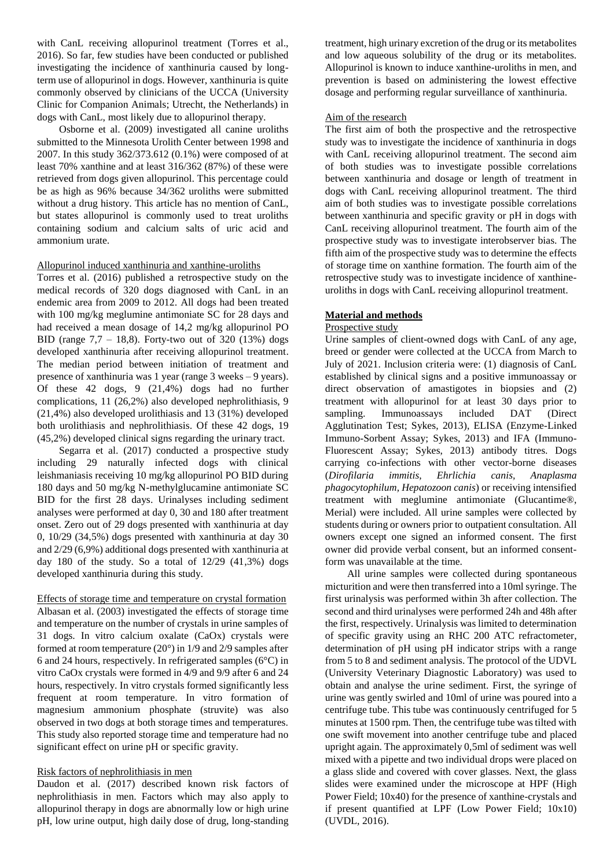with CanL receiving allopurinol treatment (Torres et al., 2016). So far, few studies have been conducted or published investigating the incidence of xanthinuria caused by longterm use of allopurinol in dogs. However, xanthinuria is quite commonly observed by clinicians of the UCCA (University Clinic for Companion Animals; Utrecht, the Netherlands) in dogs with CanL, most likely due to allopurinol therapy.

Osborne et al. (2009) investigated all canine uroliths submitted to the Minnesota Urolith Center between 1998 and 2007. In this study 362/373.612 (0.1%) were composed of at least 70% xanthine and at least 316/362 (87%) of these were retrieved from dogs given allopurinol. This percentage could be as high as 96% because 34/362 uroliths were submitted without a drug history. This article has no mention of CanL, but states allopurinol is commonly used to treat uroliths containing sodium and calcium salts of uric acid and ammonium urate.

# Allopurinol induced xanthinuria and xanthine-uroliths

Torres et al. (2016) published a retrospective study on the medical records of 320 dogs diagnosed with CanL in an endemic area from 2009 to 2012. All dogs had been treated with 100 mg/kg meglumine antimoniate SC for 28 days and had received a mean dosage of 14,2 mg/kg allopurinol PO BID (range 7,7 – 18,8). Forty-two out of 320 (13%) dogs developed xanthinuria after receiving allopurinol treatment. The median period between initiation of treatment and presence of xanthinuria was 1 year (range 3 weeks – 9 years). Of these 42 dogs, 9 (21,4%) dogs had no further complications, 11 (26,2%) also developed nephrolithiasis, 9 (21,4%) also developed urolithiasis and 13 (31%) developed both urolithiasis and nephrolithiasis. Of these 42 dogs, 19 (45,2%) developed clinical signs regarding the urinary tract.

Segarra et al. (2017) conducted a prospective study including 29 naturally infected dogs with clinical leishmaniasis receiving 10 mg/kg allopurinol PO BID during 180 days and 50 mg/kg N-methylglucamine antimoniate SC BID for the first 28 days. Urinalyses including sediment analyses were performed at day 0, 30 and 180 after treatment onset. Zero out of 29 dogs presented with xanthinuria at day 0, 10/29 (34,5%) dogs presented with xanthinuria at day 30 and 2/29 (6,9%) additional dogs presented with xanthinuria at day 180 of the study. So a total of  $12/29$   $(41,3\%)$  dogs developed xanthinuria during this study.

Effects of storage time and temperature on crystal formation Albasan et al. (2003) investigated the effects of storage time and temperature on the number of crystals in urine samples of 31 dogs. In vitro calcium oxalate (CaOx) crystals were formed at room temperature (20°) in 1/9 and 2/9 samples after 6 and 24 hours, respectively. In refrigerated samples (6°C) in vitro CaOx crystals were formed in 4/9 and 9/9 after 6 and 24 hours, respectively. In vitro crystals formed significantly less frequent at room temperature. In vitro formation of magnesium ammonium phosphate (struvite) was also observed in two dogs at both storage times and temperatures. This study also reported storage time and temperature had no significant effect on urine pH or specific gravity.

# Risk factors of nephrolithiasis in men

Daudon et al. (2017) described known risk factors of nephrolithiasis in men. Factors which may also apply to allopurinol therapy in dogs are abnormally low or high urine pH, low urine output, high daily dose of drug, long-standing

treatment, high urinary excretion of the drug or its metabolites and low aqueous solubility of the drug or its metabolites. Allopurinol is known to induce xanthine-uroliths in men, and prevention is based on administering the lowest effective dosage and performing regular surveillance of xanthinuria.

# Aim of the research

The first aim of both the prospective and the retrospective study was to investigate the incidence of xanthinuria in dogs with CanL receiving allopurinol treatment. The second aim of both studies was to investigate possible correlations between xanthinuria and dosage or length of treatment in dogs with CanL receiving allopurinol treatment. The third aim of both studies was to investigate possible correlations between xanthinuria and specific gravity or pH in dogs with CanL receiving allopurinol treatment. The fourth aim of the prospective study was to investigate interobserver bias. The fifth aim of the prospective study was to determine the effects of storage time on xanthine formation. The fourth aim of the retrospective study was to investigate incidence of xanthineuroliths in dogs with CanL receiving allopurinol treatment.

# **Material and methods**

# Prospective study

Urine samples of client-owned dogs with CanL of any age, breed or gender were collected at the UCCA from March to July of 2021. Inclusion criteria were: (1) diagnosis of CanL established by clinical signs and a positive immunoassay or direct observation of amastigotes in biopsies and  $(2)$ treatment with allopurinol for at least 30 days prior to sampling. Immunoassays included DAT (Direct Agglutination Test; Sykes, 2013), ELISA (Enzyme-Linked Immuno-Sorbent Assay; Sykes, 2013) and IFA (Immuno-Fluorescent Assay; Sykes, 2013) antibody titres. Dogs carrying co-infections with other vector-borne diseases (*Dirofilaria immitis, Ehrlichia canis, Anaplasma phagocytophilum, Hepatozoon canis*) or receiving intensified treatment with meglumine antimoniate (Glucantime®, Merial) were included. All urine samples were collected by students during or owners prior to outpatient consultation. All owners except one signed an informed consent. The first owner did provide verbal consent, but an informed consentform was unavailable at the time.

All urine samples were collected during spontaneous micturition and were then transferred into a 10ml syringe. The first urinalysis was performed within 3h after collection. The second and third urinalyses were performed 24h and 48h after the first, respectively. Urinalysis was limited to determination of specific gravity using an RHC 200 ATC refractometer, determination of pH using pH indicator strips with a range from 5 to 8 and sediment analysis. The protocol of the UDVL (University Veterinary Diagnostic Laboratory) was used to obtain and analyse the urine sediment. First, the syringe of urine was gently swirled and 10ml of urine was poured into a centrifuge tube. This tube was continuously centrifuged for 5 minutes at 1500 rpm. Then, the centrifuge tube was tilted with one swift movement into another centrifuge tube and placed upright again. The approximately 0,5ml of sediment was well mixed with a pipette and two individual drops were placed on a glass slide and covered with cover glasses. Next, the glass slides were examined under the microscope at HPF (High Power Field; 10x40) for the presence of xanthine-crystals and if present quantified at LPF (Low Power Field; 10x10) (UVDL, 2016).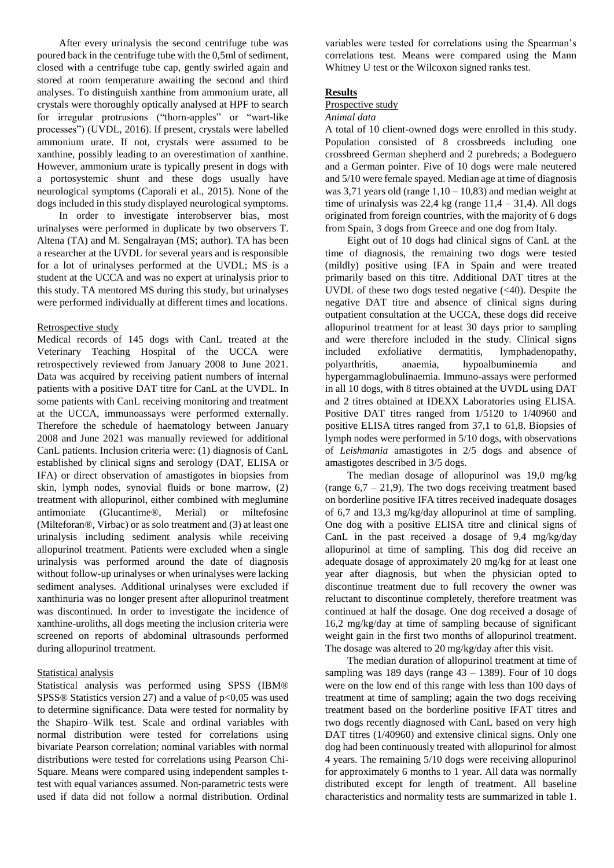After every urinalysis the second centrifuge tube was poured back in the centrifuge tube with the 0,5ml of sediment, closed with a centrifuge tube cap, gently swirled again and stored at room temperature awaiting the second and third analyses. To distinguish xanthine from ammonium urate, all crystals were thoroughly optically analysed at HPF to search for irregular protrusions ("thorn-apples" or "wart-like processes") (UVDL, 2016). If present, crystals were labelled ammonium urate. If not, crystals were assumed to be xanthine, possibly leading to an overestimation of xanthine. However, ammonium urate is typically present in dogs with a portosystemic shunt and these dogs usually have neurological symptoms (Caporali et al., 2015). None of the dogs included in this study displayed neurological symptoms.

In order to investigate interobserver bias, most urinalyses were performed in duplicate by two observers T. Altena (TA) and M. Sengalrayan (MS; author). TA has been a researcher at the UVDL for several years and is responsible for a lot of urinalyses performed at the UVDL; MS is a student at the UCCA and was no expert at urinalysis prior to this study. TA mentored MS during this study, but urinalyses were performed individually at different times and locations.

# Retrospective study

Medical records of 145 dogs with CanL treated at the Veterinary Teaching Hospital of the UCCA were retrospectively reviewed from January 2008 to June 2021. Data was acquired by receiving patient numbers of internal patients with a positive DAT titre for CanL at the UVDL. In some patients with CanL receiving monitoring and treatment at the UCCA, immunoassays were performed externally. Therefore the schedule of haematology between January 2008 and June 2021 was manually reviewed for additional CanL patients. Inclusion criteria were: (1) diagnosis of CanL established by clinical signs and serology (DAT, ELISA or IFA) or direct observation of amastigotes in biopsies from skin, lymph nodes, synovial fluids or bone marrow, (2) treatment with allopurinol, either combined with meglumine antimoniate (Glucantime®, Merial) or miltefosine (Milteforan®, Virbac) or as solo treatment and (3) at least one urinalysis including sediment analysis while receiving allopurinol treatment. Patients were excluded when a single urinalysis was performed around the date of diagnosis without follow-up urinalyses or when urinalyses were lacking sediment analyses. Additional urinalyses were excluded if xanthinuria was no longer present after allopurinol treatment was discontinued. In order to investigate the incidence of xanthine-uroliths, all dogs meeting the inclusion criteria were screened on reports of abdominal ultrasounds performed during allopurinol treatment.

# Statistical analysis

Statistical analysis was performed using SPSS (IBM® SPSS® Statistics version 27) and a value of  $p<0.05$  was used to determine significance. Data were tested for normality by the Shapiro–Wilk test. Scale and ordinal variables with normal distribution were tested for correlations using bivariate Pearson correlation; nominal variables with normal distributions were tested for correlations using Pearson Chi-Square. Means were compared using independent samples ttest with equal variances assumed. Non-parametric tests were used if data did not follow a normal distribution. Ordinal variables were tested for correlations using the Spearman's correlations test. Means were compared using the Mann Whitney U test or the Wilcoxon signed ranks test.

# **Results**

# Prospective study

# *Animal data*

A total of 10 client-owned dogs were enrolled in this study. Population consisted of 8 crossbreeds including one crossbreed German shepherd and 2 purebreds; a Bodeguero and a German pointer. Five of 10 dogs were male neutered and 5/10 were female spayed. Median age at time of diagnosis was 3,71 years old (range  $1,10 - 10,83$ ) and median weight at time of urinalysis was  $22.4$  kg (range  $11.4 - 31.4$ ). All dogs originated from foreign countries, with the majority of 6 dogs from Spain, 3 dogs from Greece and one dog from Italy.

Eight out of 10 dogs had clinical signs of CanL at the time of diagnosis, the remaining two dogs were tested (mildly) positive using IFA in Spain and were treated primarily based on this titre. Additional DAT titres at the UVDL of these two dogs tested negative  $( $40$ ). Despite the$ negative DAT titre and absence of clinical signs during outpatient consultation at the UCCA, these dogs did receive allopurinol treatment for at least 30 days prior to sampling and were therefore included in the study. Clinical signs included exfoliative dermatitis, lymphadenopathy, polyarthritis, anaemia, hypoalbuminemia and hypergammaglobulinaemia. Immuno-assays were performed in all 10 dogs, with 8 titres obtained at the UVDL using DAT and 2 titres obtained at IDEXX Laboratories using ELISA. Positive DAT titres ranged from 1/5120 to 1/40960 and positive ELISA titres ranged from 37,1 to 61,8. Biopsies of lymph nodes were performed in 5/10 dogs, with observations of *Leishmania* amastigotes in 2/5 dogs and absence of amastigotes described in 3/5 dogs.

The median dosage of allopurinol was 19,0 mg/kg (range  $6.7 - 21.9$ ). The two dogs receiving treatment based on borderline positive IFA titres received inadequate dosages of 6,7 and 13,3 mg/kg/day allopurinol at time of sampling. One dog with a positive ELISA titre and clinical signs of CanL in the past received a dosage of 9,4 mg/kg/day allopurinol at time of sampling. This dog did receive an adequate dosage of approximately 20 mg/kg for at least one year after diagnosis, but when the physician opted to discontinue treatment due to full recovery the owner was reluctant to discontinue completely, therefore treatment was continued at half the dosage. One dog received a dosage of 16,2 mg/kg/day at time of sampling because of significant weight gain in the first two months of allopurinol treatment. The dosage was altered to 20 mg/kg/day after this visit.

The median duration of allopurinol treatment at time of sampling was 189 days (range  $43 - 1389$ ). Four of 10 dogs were on the low end of this range with less than 100 days of treatment at time of sampling; again the two dogs receiving treatment based on the borderline positive IFAT titres and two dogs recently diagnosed with CanL based on very high DAT titres (1/40960) and extensive clinical signs. Only one dog had been continuously treated with allopurinol for almost 4 years. The remaining 5/10 dogs were receiving allopurinol for approximately 6 months to 1 year. All data was normally distributed except for length of treatment. All baseline characteristics and normality tests are summarized in table 1.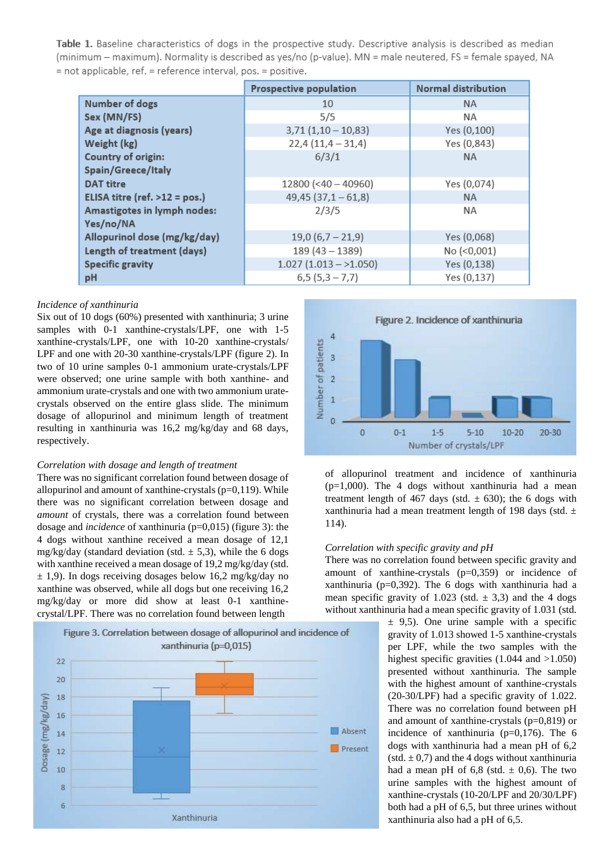Table 1. Baseline characteristics of dogs in the prospective study. Descriptive analysis is described as median (minimum – maximum). Normality is described as yes/no (p-value). MN = male neutered, FS = female spayed, NA = not applicable, ref. = reference interval, pos. = positive.

|                                 | <b>Prospective population</b> | <b>Normal distribution</b> |
|---------------------------------|-------------------------------|----------------------------|
| <b>Number of dogs</b>           | 10                            | <b>NA</b>                  |
| Sex (MN/FS)                     | 5/5                           | NA.                        |
| Age at diagnosis (years)        | $3,71(1,10-10,83)$            | Yes (0,100)                |
| Weight (kg)                     | $22,4(11,4-31,4)$             | Yes (0,843)                |
| <b>Country of origin:</b>       | 6/3/1                         | <b>NA</b>                  |
| Spain/Greece/Italy              |                               |                            |
| <b>DAT titre</b>                | $12800 (-40 - 40960)$         | Yes (0,074)                |
| ELISA titre (ref. $>12$ = pos.) | $49,45$ $(37,1 - 61,8)$       | <b>NA</b>                  |
| Amastigotes in lymph nodes:     | 2/3/5                         | <b>NA</b>                  |
| Yes/no/NA                       |                               |                            |
| Allopurinol dose (mg/kg/day)    | $19,0(6,7-21,9)$              | Yes (0,068)                |
| Length of treatment (days)      | $189(43 - 1389)$              | No (<0,001)                |
| <b>Specific gravity</b>         | $1.027(1.013 - 1.050)$        | Yes (0,138)                |
| рH                              | $6,5(5,3-7,7)$                | Yes (0,137)                |

#### *Incidence of xanthinuria*

Six out of 10 dogs (60%) presented with xanthinuria; 3 urine samples with 0-1 xanthine-crystals/LPF, one with 1-5 xanthine-crystals/LPF, one with 10-20 xanthine-crystals/ LPF and one with 20-30 xanthine-crystals/LPF (figure 2). In two of 10 urine samples 0-1 ammonium urate-crystals/LPF were observed; one urine sample with both xanthine- and ammonium urate-crystals and one with two ammonium uratecrystals observed on the entire glass slide. The minimum dosage of allopurinol and minimum length of treatment resulting in xanthinuria was 16,2 mg/kg/day and 68 days, respectively.

#### *Correlation with dosage and length of treatment*

There was no significant correlation found between dosage of allopurinol and amount of xanthine-crystals  $(p=0,119)$ . While there was no significant correlation between dosage and *amount* of crystals, there was a correlation found between dosage and *incidence* of xanthinuria (p=0,015) (figure 3): the 4 dogs without xanthine received a mean dosage of 12,1 mg/kg/day (standard deviation (std.  $\pm$  5,3), while the 6 dogs with xanthine received a mean dosage of 19,2 mg/kg/day (std.  $\pm$  1,9). In dogs receiving dosages below 16,2 mg/kg/day no xanthine was observed, while all dogs but one receiving 16,2 mg/kg/day or more did show at least 0-1 xanthinecrystal/LPF. There was no correlation found between length





of allopurinol treatment and incidence of xanthinuria  $(p=1,000)$ . The 4 dogs without xanthinuria had a mean treatment length of 467 days (std.  $\pm$  630); the 6 dogs with xanthinuria had a mean treatment length of 198 days (std.  $\pm$ 114).

#### *Correlation with specific gravity and pH*

There was no correlation found between specific gravity and amount of xanthine-crystals (p=0,359) or incidence of xanthinuria (p=0,392). The 6 dogs with xanthinuria had a mean specific gravity of 1.023 (std.  $\pm$  3,3) and the 4 dogs without xanthinuria had a mean specific gravity of 1.031 (std.

 $\pm$  9,5). One urine sample with a specific gravity of 1.013 showed 1-5 xanthine-crystals per LPF, while the two samples with the highest specific gravities (1.044 and >1.050) presented without xanthinuria. The sample with the highest amount of xanthine-crystals (20-30/LPF) had a specific gravity of 1.022. There was no correlation found between pH and amount of xanthine-crystals (p=0,819) or incidence of xanthinuria ( $p=0,176$ ). The 6 dogs with xanthinuria had a mean pH of 6,2  $(stat. \pm 0.7)$  and the 4 dogs without xanthinuria had a mean pH of  $6,8$  (std.  $\pm$  0,6). The two urine samples with the highest amount of xanthine-crystals (10-20/LPF and 20/30/LPF) both had a pH of 6,5, but three urines without xanthinuria also had a pH of 6,5.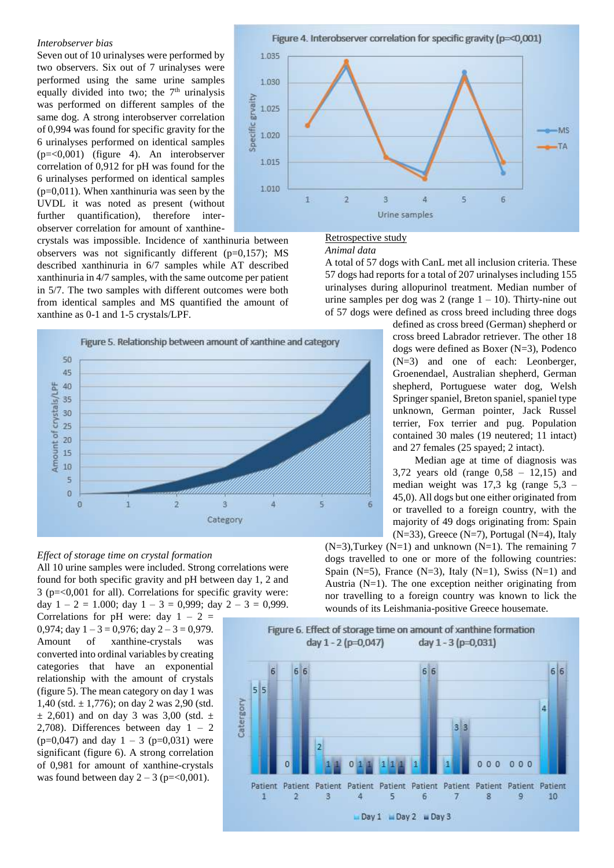#### *Interobserver bias*

Seven out of 10 urinalyses were performed by two observers. Six out of 7 urinalyses were performed using the same urine samples equally divided into two; the  $7<sup>th</sup>$  urinalysis was performed on different samples of the same dog. A strong interobserver correlation of 0,994 was found for specific gravity for the 6 urinalyses performed on identical samples (p=<0,001) (figure 4). An interobserver correlation of 0,912 for pH was found for the 6 urinalyses performed on identical samples  $(p=0.011)$ . When xanthinuria was seen by the UVDL it was noted as present (without further quantification), therefore interobserver correlation for amount of xanthine-

crystals was impossible. Incidence of xanthinuria between observers was not significantly different (p=0,157); MS described xanthinuria in 6/7 samples while AT described xanthinuria in 4/7 samples, with the same outcome per patient in 5/7. The two samples with different outcomes were both from identical samples and MS quantified the amount of xanthine as 0-1 and 1-5 crystals/LPF.



#### *Effect of storage time on crystal formation*

All 10 urine samples were included. Strong correlations were found for both specific gravity and pH between day 1, 2 and 3 (p=<0,001 for all). Correlations for specific gravity were: day  $1 - 2 = 1.000$ ; day  $1 - 3 = 0.999$ ; day  $2 - 3 = 0.999$ .

Correlations for pH were: day  $1 - 2 =$ 0,974; day  $1 - 3 = 0.976$ ; day  $2 - 3 = 0.979$ . Amount of xanthine-crystals was converted into ordinal variables by creating categories that have an exponential relationship with the amount of crystals (figure 5). The mean category on day 1 was 1,40 (std.  $\pm$  1,776); on day 2 was 2,90 (std.  $\pm$  2,601) and on day 3 was 3,00 (std.  $\pm$ 2,708). Differences between day  $1 - 2$  $(p=0.047)$  and day  $1 - 3$  ( $p=0.031$ ) were significant (figure 6). A strong correlation of 0,981 for amount of xanthine-crystals was found between day  $2 - 3$  (p=<0,001).





### Retrospective study

#### *Animal data*

A total of 57 dogs with CanL met all inclusion criteria. These 57 dogs had reports for a total of 207 urinalyses including 155 urinalyses during allopurinol treatment. Median number of urine samples per dog was 2 (range  $1 - 10$ ). Thirty-nine out of 57 dogs were defined as cross breed including three dogs

> defined as cross breed (German) shepherd or cross breed Labrador retriever. The other 18 dogs were defined as Boxer (N=3), Podenco (N=3) and one of each: Leonberger, Groenendael, Australian shepherd, German shepherd, Portuguese water dog, Welsh Springer spaniel, Breton spaniel, spaniel type unknown, German pointer, Jack Russel terrier, Fox terrier and pug. Population contained 30 males (19 neutered; 11 intact) and 27 females (25 spayed; 2 intact).

> Median age at time of diagnosis was 3,72 years old (range 0,58 – 12,15) and median weight was 17,3 kg (range 5,3 – 45,0). All dogs but one either originated from or travelled to a foreign country, with the majority of 49 dogs originating from: Spain (N=33), Greece (N=7), Portugal (N=4), Italy

 $(N=3)$ ,Turkey  $(N=1)$  and unknown  $(N=1)$ . The remaining 7 dogs travelled to one or more of the following countries: Spain (N=5), France (N=3), Italy (N=1), Swiss (N=1) and Austria  $(N=1)$ . The one exception neither originating from nor travelling to a foreign country was known to lick the wounds of its Leishmania-positive Greece housemate.

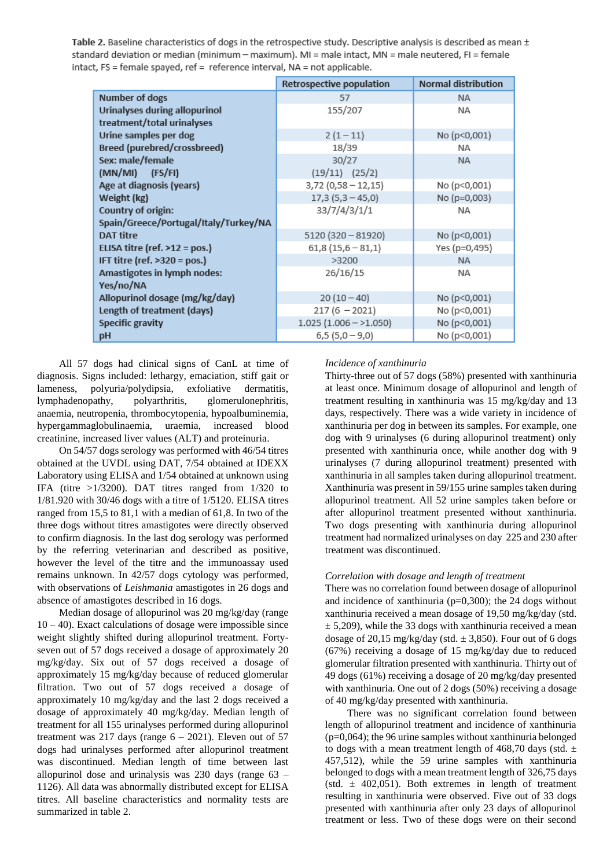Table 2. Baseline characteristics of dogs in the retrospective study. Descriptive analysis is described as mean ± standard deviation or median (minimum - maximum). MI = male intact, MN = male neutered, FI = female intact, FS = female spayed, ref = reference interval, NA = not applicable.

|                                       | Retrospective population | <b>Normal distribution</b> |
|---------------------------------------|--------------------------|----------------------------|
| <b>Number of dogs</b>                 | 57                       | <b>NA</b>                  |
| Urinalyses during allopurinol         | 155/207                  | NA                         |
| treatment/total urinalyses            |                          |                            |
| Urine samples per dog                 | $2(1-11)$                | No (p<0,001)               |
| Breed (purebred/crossbreed)           | 18/39                    | NA.                        |
| Sex: male/female                      | 30/27                    | <b>NA</b>                  |
| (MN/MI) (FS/FI)                       | $(19/11)$ $(25/2)$       |                            |
| Age at diagnosis (years)              | $3,72(0,58 - 12,15)$     | No (p<0,001)               |
| Weight (kg)                           | $17,3(5,3-45,0)$         | No (p=0,003)               |
| Country of origin:                    | 33/7/4/3/1/1             | <b>NA</b>                  |
| Spain/Greece/Portugal/Italy/Turkey/NA |                          |                            |
| <b>DAT titre</b>                      | $5120(320-81920)$        | No (p<0,001)               |
| ELISA titre (ref. >12 = pos.)         | $61,8(15,6-81,1)$        | Yes (p=0,495)              |
| IFT titre (ref. >320 = pos.)          | >3200                    | <b>NA</b>                  |
| Amastigotes in lymph nodes:           | 26/16/15                 | ΝA                         |
| Yes/no/NA                             |                          |                            |
| Allopurinol dosage (mg/kg/day)        | $20(10-40)$              | No (p<0,001)               |
| Length of treatment (days)            | $217(6 - 2021)$          | No (p<0,001)               |
| <b>Specific gravity</b>               | $1.025(1.006 - 1.050)$   | No (p<0,001)               |
| pH                                    | $6,5(5,0-9,0)$           | No (p<0,001)               |

All 57 dogs had clinical signs of CanL at time of diagnosis. Signs included: lethargy, emaciation, stiff gait or lameness, polyuria/polydipsia, exfoliative dermatitis, lymphadenopathy, polyarthritis, glomerulonephritis, anaemia, neutropenia, thrombocytopenia, hypoalbuminemia, hypergammaglobulinaemia, uraemia, increased blood creatinine, increased liver values (ALT) and proteinuria.

On 54/57 dogs serology was performed with 46/54 titres obtained at the UVDL using DAT, 7/54 obtained at IDEXX Laboratory using ELISA and 1/54 obtained at unknown using IFA (titre >1/3200). DAT titres ranged from 1/320 to 1/81.920 with 30/46 dogs with a titre of 1/5120. ELISA titres ranged from 15,5 to 81,1 with a median of 61,8. In two of the three dogs without titres amastigotes were directly observed to confirm diagnosis. In the last dog serology was performed by the referring veterinarian and described as positive, however the level of the titre and the immunoassay used remains unknown. In 42/57 dogs cytology was performed, with observations of *Leishmania* amastigotes in 26 dogs and absence of amastigotes described in 16 dogs.

Median dosage of allopurinol was 20 mg/kg/day (range  $10 - 40$ ). Exact calculations of dosage were impossible since weight slightly shifted during allopurinol treatment. Fortyseven out of 57 dogs received a dosage of approximately 20 mg/kg/day. Six out of 57 dogs received a dosage of approximately 15 mg/kg/day because of reduced glomerular filtration. Two out of 57 dogs received a dosage of approximately 10 mg/kg/day and the last 2 dogs received a dosage of approximately 40 mg/kg/day. Median length of treatment for all 155 urinalyses performed during allopurinol treatment was 217 days (range  $6 - 2021$ ). Eleven out of 57 dogs had urinalyses performed after allopurinol treatment was discontinued. Median length of time between last allopurinol dose and urinalysis was 230 days (range 63 – 1126). All data was abnormally distributed except for ELISA titres. All baseline characteristics and normality tests are summarized in table 2.

# *Incidence of xanthinuria*

Thirty-three out of 57 dogs (58%) presented with xanthinuria at least once. Minimum dosage of allopurinol and length of treatment resulting in xanthinuria was 15 mg/kg/day and 13 days, respectively. There was a wide variety in incidence of xanthinuria per dog in between its samples. For example, one dog with 9 urinalyses (6 during allopurinol treatment) only presented with xanthinuria once, while another dog with 9 urinalyses (7 during allopurinol treatment) presented with xanthinuria in all samples taken during allopurinol treatment. Xanthinuria was present in 59/155 urine samples taken during allopurinol treatment. All 52 urine samples taken before or after allopurinol treatment presented without xanthinuria. Two dogs presenting with xanthinuria during allopurinol treatment had normalized urinalyses on day 225 and 230 after treatment was discontinued.

# *Correlation with dosage and length of treatment*

There was no correlation found between dosage of allopurinol and incidence of xanthinuria ( $p=0,300$ ); the 24 dogs without xanthinuria received a mean dosage of 19,50 mg/kg/day (std.  $\pm$  5,209), while the 33 dogs with xanthinuria received a mean dosage of 20.15 mg/kg/day (std.  $\pm$  3.850). Four out of 6 dogs (67%) receiving a dosage of 15 mg/kg/day due to reduced glomerular filtration presented with xanthinuria. Thirty out of 49 dogs (61%) receiving a dosage of 20 mg/kg/day presented with xanthinuria. One out of 2 dogs (50%) receiving a dosage of 40 mg/kg/day presented with xanthinuria.

There was no significant correlation found between length of allopurinol treatment and incidence of xanthinuria (p=0,064); the 96 urine samples without xanthinuria belonged to dogs with a mean treatment length of 468,70 days (std.  $\pm$ 457,512), while the 59 urine samples with xanthinuria belonged to dogs with a mean treatment length of 326,75 days (std.  $\pm$  402,051). Both extremes in length of treatment resulting in xanthinuria were observed. Five out of 33 dogs presented with xanthinuria after only 23 days of allopurinol treatment or less. Two of these dogs were on their second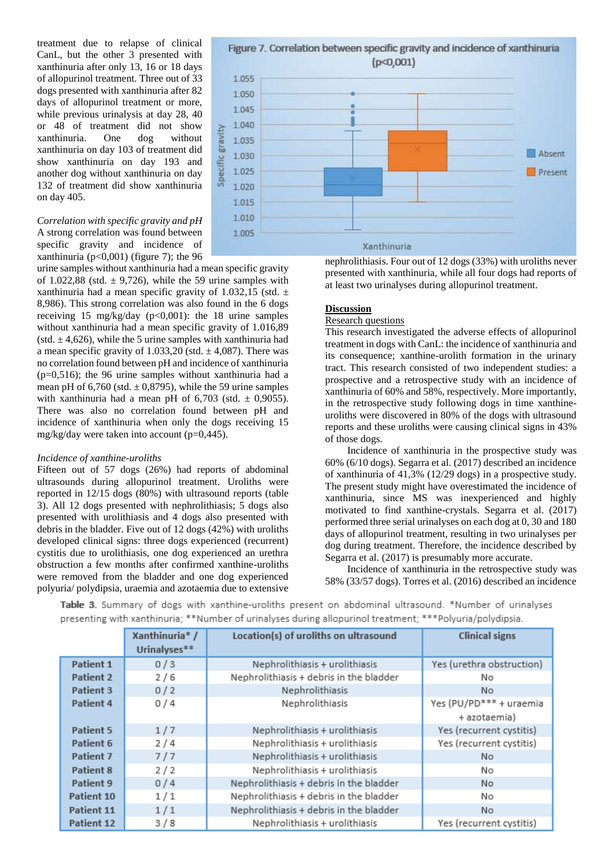treatment due to relapse of clinical CanL, but the other 3 presented with xanthinuria after only 13, 16 or 18 days of allopurinol treatment. Three out of 33 dogs presented with xanthinuria after 82 days of allopurinol treatment or more, while previous urinalysis at day 28, 40 or 48 of treatment did not show xanthinuria. One dog without xanthinuria on day 103 of treatment did show xanthinuria on day 193 and another dog without xanthinuria on day 132 of treatment did show xanthinuria on day 405.

*Correlation with specific gravity and pH* A strong correlation was found between specific gravity and incidence of xanthinuria ( $p<0,001$ ) (figure 7); the 96

urine samples without xanthinuria had a mean specific gravity of 1.022,88 (std.  $\pm$  9.726), while the 59 urine samples with xanthinuria had a mean specific gravity of 1.032,15 (std.  $\pm$ 8,986). This strong correlation was also found in the 6 dogs receiving 15 mg/kg/day (p<0,001): the 18 urine samples without xanthinuria had a mean specific gravity of 1.016,89 (std.  $\pm$  4,626), while the 5 urine samples with xanthinuria had a mean specific gravity of 1.033,20 (std.  $\pm$  4,087). There was no correlation found between pH and incidence of xanthinuria (p=0,516); the 96 urine samples without xanthinuria had a mean pH of  $6,760$  (std.  $\pm$  0,8795), while the 59 urine samples with xanthinuria had a mean pH of  $6,703$  (std.  $\pm$  0,9055). There was also no correlation found between pH and incidence of xanthinuria when only the dogs receiving 15 mg/kg/day were taken into account  $(p=0,445)$ .

# *Incidence of xanthine-uroliths*

Fifteen out of 57 dogs (26%) had reports of abdominal ultrasounds during allopurinol treatment. Uroliths were reported in 12/15 dogs (80%) with ultrasound reports (table 3). All 12 dogs presented with nephrolithiasis; 5 dogs also presented with urolithiasis and 4 dogs also presented with debris in the bladder. Five out of 12 dogs (42%) with uroliths developed clinical signs: three dogs experienced (recurrent) cystitis due to urolithiasis, one dog experienced an urethra obstruction a few months after confirmed xanthine-uroliths were removed from the bladder and one dog experienced polyuria/ polydipsia, uraemia and azotaemia due to extensive

Figure 7. Correlation between specific gravity and incidence of xanthinuria  $(p<0,001)$ 1.055 1.050

![](_page_6_Figure_6.jpeg)

nephrolithiasis. Four out of 12 dogs (33%) with uroliths never presented with xanthinuria, while all four dogs had reports of at least two urinalyses during allopurinol treatment.

# **Discussion**

# Research questions

This research investigated the adverse effects of allopurinol treatment in dogs with CanL: the incidence of xanthinuria and its consequence; xanthine-urolith formation in the urinary tract. This research consisted of two independent studies: a prospective and a retrospective study with an incidence of xanthinuria of 60% and 58%, respectively. More importantly, in the retrospective study following dogs in time xanthineuroliths were discovered in 80% of the dogs with ultrasound reports and these uroliths were causing clinical signs in 43% of those dogs.

Incidence of xanthinuria in the prospective study was 60% (6/10 dogs). Segarra et al. (2017) described an incidence of xanthinuria of 41,3% (12/29 dogs) in a prospective study. The present study might have overestimated the incidence of xanthinuria, since MS was inexperienced and highly motivated to find xanthine-crystals. Segarra et al. (2017) performed three serial urinalyses on each dog at 0, 30 and 180 days of allopurinol treatment, resulting in two urinalyses per dog during treatment. Therefore, the incidence described by Segarra et al. (2017) is presumably more accurate.

Incidence of xanthinuria in the retrospective study was 58% (33/57 dogs). Torres et al. (2016) described an incidence

<u> The Common Service Common Service Common Service Common Service Common Service Common Service Common Service Common Service Common Service Common Service Common Service Common Service Common Service Common Service Common</u>

Table 3. Summary of dogs with xanthine-uroliths present on abdominal ultrasound. \*Number of urinalyses presenting with xanthinuria; \*\*Number of urinalyses during allopurinol treatment; \*\*\*Polyuria/polydipsia.

 $\mathbf{y}_{n+1}$  (b)  $\mathbf{y}_{n+1}$  (c)  $\mathbf{y}_{n+1}$  (c)  $\mathbf{y}_{n+1}$  (c)  $\mathbf{y}_{n+1}$  (b)  $\mathbf{y}_{n+1}$  (c)  $\mathbf{y}_{n+1}$  (c)  $\mathbf{y}_{n+1}$ 

|                  | Adiltillilurid / | Location(s) of droittis on ultrasound   | списат мень               |
|------------------|------------------|-----------------------------------------|---------------------------|
|                  | Urinalyses**     |                                         |                           |
| <b>Patient 1</b> | 0/3              | Nephrolithiasis + urolithiasis          | Yes (urethra obstruction) |
| <b>Patient 2</b> | 2/6              | Nephrolithiasis + debris in the bladder | No                        |
| Patient 3        | 0/2              | Nephrolithiasis                         | No                        |
| <b>Patient 4</b> | 0/4              | Nephrolithiasis                         | Yes (PU/PD*** + uraemia   |
|                  |                  |                                         | + azotaemia)              |
| <b>Patient 5</b> | 1/7              | Nephrolithiasis + urolithiasis          | Yes (recurrent cystitis)  |
| Patient 6        | 2/4              | Nephrolithiasis + urolithiasis          | Yes (recurrent cystitis)  |
| <b>Patient 7</b> | 7/7              | Nephrolithiasis + urolithiasis          | No.                       |
| <b>Patient 8</b> | 2/2              | Nephrolithiasis + urolithiasis          | No.                       |
| Patient 9        | 0/4              | Nephrolithiasis + debris in the bladder | <b>No</b>                 |
| Patient 10       | 1/1              | Nephrolithiasis + debris in the bladder | No                        |
| Patient 11       | 1/1              | Nephrolithiasis + debris in the bladder | No.                       |
| Patient 12       | 3/8              | Nephrolithiasis + urolithiasis          | Yes (recurrent cystitis)  |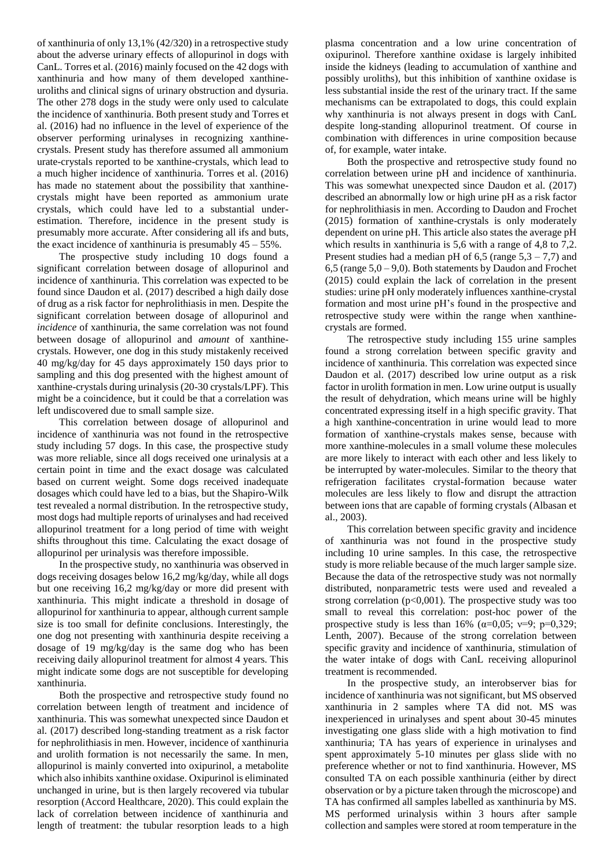of xanthinuria of only 13,1% (42/320) in a retrospective study about the adverse urinary effects of allopurinol in dogs with CanL. Torres et al. (2016) mainly focused on the 42 dogs with xanthinuria and how many of them developed xanthineuroliths and clinical signs of urinary obstruction and dysuria. The other 278 dogs in the study were only used to calculate the incidence of xanthinuria. Both present study and Torres et al. (2016) had no influence in the level of experience of the observer performing urinalyses in recognizing xanthinecrystals. Present study has therefore assumed all ammonium urate-crystals reported to be xanthine-crystals, which lead to a much higher incidence of xanthinuria. Torres et al. (2016) has made no statement about the possibility that xanthinecrystals might have been reported as ammonium urate crystals, which could have led to a substantial underestimation. Therefore, incidence in the present study is presumably more accurate. After considering all ifs and buts, the exact incidence of xanthinuria is presumably  $45 - 55\%$ .

The prospective study including 10 dogs found a significant correlation between dosage of allopurinol and incidence of xanthinuria. This correlation was expected to be found since Daudon et al. (2017) described a high daily dose of drug as a risk factor for nephrolithiasis in men. Despite the significant correlation between dosage of allopurinol and *incidence* of xanthinuria, the same correlation was not found between dosage of allopurinol and *amount* of xanthinecrystals. However, one dog in this study mistakenly received 40 mg/kg/day for 45 days approximately 150 days prior to sampling and this dog presented with the highest amount of xanthine-crystals during urinalysis (20-30 crystals/LPF). This might be a coincidence, but it could be that a correlation was left undiscovered due to small sample size.

This correlation between dosage of allopurinol and incidence of xanthinuria was not found in the retrospective study including 57 dogs. In this case, the prospective study was more reliable, since all dogs received one urinalysis at a certain point in time and the exact dosage was calculated based on current weight. Some dogs received inadequate dosages which could have led to a bias, but the Shapiro-Wilk test revealed a normal distribution. In the retrospective study, most dogs had multiple reports of urinalyses and had received allopurinol treatment for a long period of time with weight shifts throughout this time. Calculating the exact dosage of allopurinol per urinalysis was therefore impossible.

In the prospective study, no xanthinuria was observed in dogs receiving dosages below 16,2 mg/kg/day, while all dogs but one receiving 16,2 mg/kg/day or more did present with xanthinuria. This might indicate a threshold in dosage of allopurinol for xanthinuria to appear, although current sample size is too small for definite conclusions. Interestingly, the one dog not presenting with xanthinuria despite receiving a dosage of 19 mg/kg/day is the same dog who has been receiving daily allopurinol treatment for almost 4 years. This might indicate some dogs are not susceptible for developing xanthinuria.

Both the prospective and retrospective study found no correlation between length of treatment and incidence of xanthinuria. This was somewhat unexpected since Daudon et al. (2017) described long-standing treatment as a risk factor for nephrolithiasis in men. However, incidence of xanthinuria and urolith formation is not necessarily the same. In men, allopurinol is mainly converted into oxipurinol, a metabolite which also inhibits xanthine oxidase. Oxipurinol is eliminated unchanged in urine, but is then largely recovered via tubular resorption (Accord Healthcare, 2020). This could explain the lack of correlation between incidence of xanthinuria and length of treatment: the tubular resorption leads to a high

plasma concentration and a low urine concentration of oxipurinol. Therefore xanthine oxidase is largely inhibited inside the kidneys (leading to accumulation of xanthine and possibly uroliths), but this inhibition of xanthine oxidase is less substantial inside the rest of the urinary tract. If the same mechanisms can be extrapolated to dogs, this could explain why xanthinuria is not always present in dogs with CanL despite long-standing allopurinol treatment. Of course in combination with differences in urine composition because of, for example, water intake.

Both the prospective and retrospective study found no correlation between urine pH and incidence of xanthinuria. This was somewhat unexpected since Daudon et al. (2017) described an abnormally low or high urine pH as a risk factor for nephrolithiasis in men. According to Daudon and Frochet (2015) formation of xanthine-crystals is only moderately dependent on urine pH. This article also states the average pH which results in xanthinuria is 5,6 with a range of 4,8 to 7,2. Present studies had a median pH of 6,5 (range  $5,3 - 7,7$ ) and 6,5 (range  $5,0 - 9,0$ ). Both statements by Daudon and Frochet (2015) could explain the lack of correlation in the present studies: urine pH only moderately influences xanthine-crystal formation and most urine pH's found in the prospective and retrospective study were within the range when xanthinecrystals are formed.

The retrospective study including 155 urine samples found a strong correlation between specific gravity and incidence of xanthinuria. This correlation was expected since Daudon et al. (2017) described low urine output as a risk factor in urolith formation in men. Low urine output is usually the result of dehydration, which means urine will be highly concentrated expressing itself in a high specific gravity. That a high xanthine-concentration in urine would lead to more formation of xanthine-crystals makes sense, because with more xanthine-molecules in a small volume these molecules are more likely to interact with each other and less likely to be interrupted by water-molecules. Similar to the theory that refrigeration facilitates crystal-formation because water molecules are less likely to flow and disrupt the attraction between ions that are capable of forming crystals (Albasan et al., 2003).

This correlation between specific gravity and incidence of xanthinuria was not found in the prospective study including 10 urine samples. In this case, the retrospective study is more reliable because of the much larger sample size. Because the data of the retrospective study was not normally distributed, nonparametric tests were used and revealed a strong correlation  $(p<0,001)$ . The prospective study was too small to reveal this correlation: post-hoc power of the prospective study is less than 16% ( $\alpha=0.05$ ;  $\nu=9$ ;  $p=0.329$ ; Lenth, 2007). Because of the strong correlation between specific gravity and incidence of xanthinuria, stimulation of the water intake of dogs with CanL receiving allopurinol treatment is recommended.

In the prospective study, an interobserver bias for incidence of xanthinuria was not significant, but MS observed xanthinuria in 2 samples where TA did not. MS was inexperienced in urinalyses and spent about 30-45 minutes investigating one glass slide with a high motivation to find xanthinuria; TA has years of experience in urinalyses and spent approximately 5-10 minutes per glass slide with no preference whether or not to find xanthinuria. However, MS consulted TA on each possible xanthinuria (either by direct observation or by a picture taken through the microscope) and TA has confirmed all samples labelled as xanthinuria by MS. MS performed urinalysis within 3 hours after sample collection and samples were stored at room temperature in the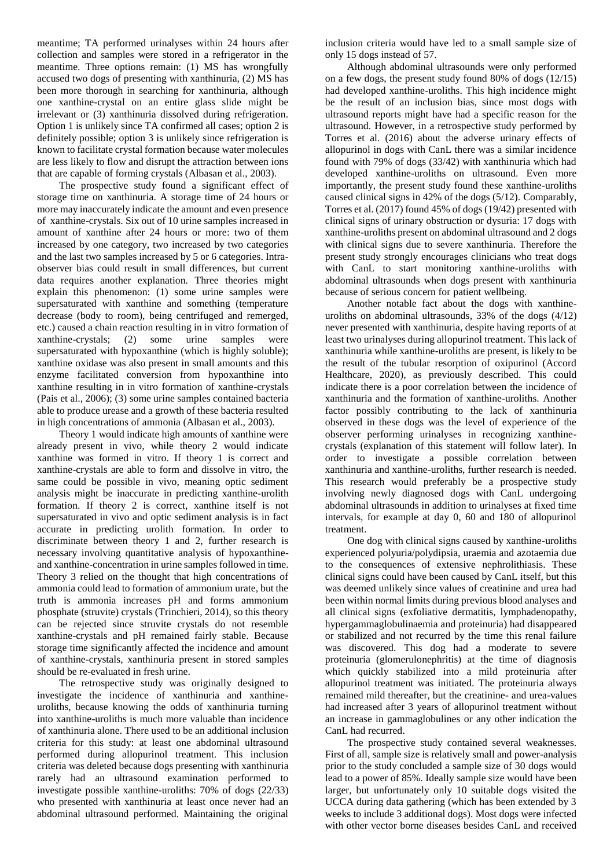meantime; TA performed urinalyses within 24 hours after collection and samples were stored in a refrigerator in the meantime. Three options remain: (1) MS has wrongfully accused two dogs of presenting with xanthinuria, (2) MS has been more thorough in searching for xanthinuria, although one xanthine-crystal on an entire glass slide might be irrelevant or (3) xanthinuria dissolved during refrigeration. Option 1 is unlikely since TA confirmed all cases; option 2 is definitely possible; option 3 is unlikely since refrigeration is known to facilitate crystal formation because water molecules are less likely to flow and disrupt the attraction between ions that are capable of forming crystals (Albasan et al., 2003).

The prospective study found a significant effect of storage time on xanthinuria. A storage time of 24 hours or more may inaccurately indicate the amount and even presence of xanthine-crystals. Six out of 10 urine samples increased in amount of xanthine after 24 hours or more: two of them increased by one category, two increased by two categories and the last two samples increased by 5 or 6 categories. Intraobserver bias could result in small differences, but current data requires another explanation. Three theories might explain this phenomenon: (1) some urine samples were supersaturated with xanthine and something (temperature decrease (body to room), being centrifuged and remerged, etc.) caused a chain reaction resulting in in vitro formation of xanthine-crystals; (2) some urine samples were supersaturated with hypoxanthine (which is highly soluble); xanthine oxidase was also present in small amounts and this enzyme facilitated conversion from hypoxanthine into xanthine resulting in in vitro formation of xanthine-crystals (Pais et al., 2006); (3) some urine samples contained bacteria able to produce urease and a growth of these bacteria resulted in high concentrations of ammonia (Albasan et al., 2003).

Theory 1 would indicate high amounts of xanthine were already present in vivo, while theory 2 would indicate xanthine was formed in vitro. If theory 1 is correct and xanthine-crystals are able to form and dissolve in vitro, the same could be possible in vivo, meaning optic sediment analysis might be inaccurate in predicting xanthine-urolith formation. If theory 2 is correct, xanthine itself is not supersaturated in vivo and optic sediment analysis is in fact accurate in predicting urolith formation. In order to discriminate between theory 1 and 2, further research is necessary involving quantitative analysis of hypoxanthineand xanthine-concentration in urine samples followed in time. Theory 3 relied on the thought that high concentrations of ammonia could lead to formation of ammonium urate, but the truth is ammonia increases pH and forms ammonium phosphate (struvite) crystals (Trinchieri, 2014), so this theory can be rejected since struvite crystals do not resemble xanthine-crystals and pH remained fairly stable. Because storage time significantly affected the incidence and amount of xanthine-crystals, xanthinuria present in stored samples should be re-evaluated in fresh urine.

The retrospective study was originally designed to investigate the incidence of xanthinuria and xanthineuroliths, because knowing the odds of xanthinuria turning into xanthine-uroliths is much more valuable than incidence of xanthinuria alone. There used to be an additional inclusion criteria for this study: at least one abdominal ultrasound performed during allopurinol treatment. This inclusion criteria was deleted because dogs presenting with xanthinuria rarely had an ultrasound examination performed to investigate possible xanthine-uroliths: 70% of dogs (22/33) who presented with xanthinuria at least once never had an abdominal ultrasound performed. Maintaining the original

inclusion criteria would have led to a small sample size of only 15 dogs instead of 57.

Although abdominal ultrasounds were only performed on a few dogs, the present study found 80% of dogs (12/15) had developed xanthine-uroliths. This high incidence might be the result of an inclusion bias, since most dogs with ultrasound reports might have had a specific reason for the ultrasound. However, in a retrospective study performed by Torres et al. (2016) about the adverse urinary effects of allopurinol in dogs with CanL there was a similar incidence found with 79% of dogs (33/42) with xanthinuria which had developed xanthine-uroliths on ultrasound. Even more importantly, the present study found these xanthine-uroliths caused clinical signs in 42% of the dogs (5/12). Comparably, Torres et al. (2017) found 45% of dogs (19/42) presented with clinical signs of urinary obstruction or dysuria: 17 dogs with xanthine-uroliths present on abdominal ultrasound and 2 dogs with clinical signs due to severe xanthinuria. Therefore the present study strongly encourages clinicians who treat dogs with CanL to start monitoring xanthine-uroliths with abdominal ultrasounds when dogs present with xanthinuria because of serious concern for patient wellbeing.

Another notable fact about the dogs with xanthineuroliths on abdominal ultrasounds, 33% of the dogs (4/12) never presented with xanthinuria, despite having reports of at least two urinalyses during allopurinol treatment. This lack of xanthinuria while xanthine-uroliths are present, is likely to be the result of the tubular resorption of oxipurinol (Accord Healthcare, 2020), as previously described. This could indicate there is a poor correlation between the incidence of xanthinuria and the formation of xanthine-uroliths. Another factor possibly contributing to the lack of xanthinuria observed in these dogs was the level of experience of the observer performing urinalyses in recognizing xanthinecrystals (explanation of this statement will follow later). In order to investigate a possible correlation between xanthinuria and xanthine-uroliths, further research is needed. This research would preferably be a prospective study involving newly diagnosed dogs with CanL undergoing abdominal ultrasounds in addition to urinalyses at fixed time intervals, for example at day 0, 60 and 180 of allopurinol treatment.

One dog with clinical signs caused by xanthine-uroliths experienced polyuria/polydipsia, uraemia and azotaemia due to the consequences of extensive nephrolithiasis. These clinical signs could have been caused by CanL itself, but this was deemed unlikely since values of creatinine and urea had been within normal limits during previous blood analyses and all clinical signs (exfoliative dermatitis, lymphadenopathy, hypergammaglobulinaemia and proteinuria) had disappeared or stabilized and not recurred by the time this renal failure was discovered. This dog had a moderate to severe proteinuria (glomerulonephritis) at the time of diagnosis which quickly stabilized into a mild proteinuria after allopurinol treatment was initiated. The proteinuria always remained mild thereafter, but the creatinine- and urea-values had increased after 3 years of allopurinol treatment without an increase in gammaglobulines or any other indication the CanL had recurred.

The prospective study contained several weaknesses. First of all, sample size is relatively small and power-analysis prior to the study concluded a sample size of 30 dogs would lead to a power of 85%. Ideally sample size would have been larger, but unfortunately only 10 suitable dogs visited the UCCA during data gathering (which has been extended by 3 weeks to include 3 additional dogs). Most dogs were infected with other vector borne diseases besides CanL and received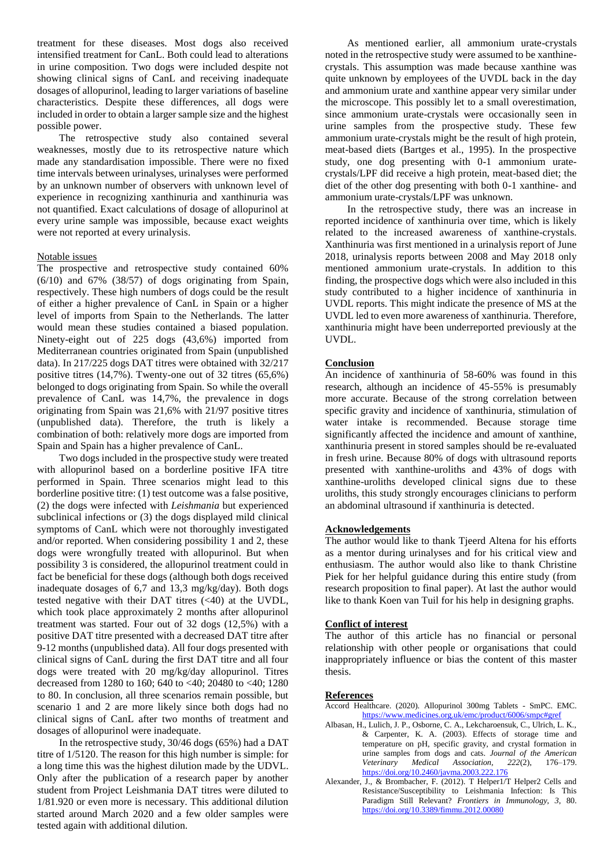treatment for these diseases. Most dogs also received intensified treatment for CanL. Both could lead to alterations in urine composition. Two dogs were included despite not showing clinical signs of CanL and receiving inadequate dosages of allopurinol, leading to larger variations of baseline characteristics. Despite these differences, all dogs were included in order to obtain a larger sample size and the highest possible power.

The retrospective study also contained several weaknesses, mostly due to its retrospective nature which made any standardisation impossible. There were no fixed time intervals between urinalyses, urinalyses were performed by an unknown number of observers with unknown level of experience in recognizing xanthinuria and xanthinuria was not quantified. Exact calculations of dosage of allopurinol at every urine sample was impossible, because exact weights were not reported at every urinalysis.

# Notable issues

The prospective and retrospective study contained 60%  $(6/10)$  and  $67\%$   $(38/57)$  of dogs originating from Spain, respectively. These high numbers of dogs could be the result of either a higher prevalence of CanL in Spain or a higher level of imports from Spain to the Netherlands. The latter would mean these studies contained a biased population. Ninety-eight out of 225 dogs (43,6%) imported from Mediterranean countries originated from Spain (unpublished data). In 217/225 dogs DAT titres were obtained with 32/217 positive titres (14,7%). Twenty-one out of 32 titres (65,6%) belonged to dogs originating from Spain. So while the overall prevalence of CanL was 14,7%, the prevalence in dogs originating from Spain was 21,6% with 21/97 positive titres (unpublished data). Therefore, the truth is likely a combination of both: relatively more dogs are imported from Spain and Spain has a higher prevalence of CanL.

Two dogs included in the prospective study were treated with allopurinol based on a borderline positive IFA titre performed in Spain. Three scenarios might lead to this borderline positive titre: (1) test outcome was a false positive, (2) the dogs were infected with *Leishmania* but experienced subclinical infections or (3) the dogs displayed mild clinical symptoms of CanL which were not thoroughly investigated and/or reported. When considering possibility 1 and 2, these dogs were wrongfully treated with allopurinol. But when possibility 3 is considered, the allopurinol treatment could in fact be beneficial for these dogs (although both dogs received inadequate dosages of 6,7 and 13,3 mg/kg/day). Both dogs tested negative with their DAT titres (<40) at the UVDL, which took place approximately 2 months after allopurinol treatment was started. Four out of 32 dogs (12,5%) with a positive DAT titre presented with a decreased DAT titre after 9-12 months (unpublished data). All four dogs presented with clinical signs of CanL during the first DAT titre and all four dogs were treated with 20 mg/kg/day allopurinol. Titres decreased from 1280 to 160; 640 to <40; 20480 to <40; 1280 to 80. In conclusion, all three scenarios remain possible, but scenario 1 and 2 are more likely since both dogs had no clinical signs of CanL after two months of treatment and dosages of allopurinol were inadequate.

In the retrospective study, 30/46 dogs (65%) had a DAT titre of 1/5120. The reason for this high number is simple: for a long time this was the highest dilution made by the UDVL. Only after the publication of a research paper by another student from Project Leishmania DAT titres were diluted to 1/81.920 or even more is necessary. This additional dilution started around March 2020 and a few older samples were tested again with additional dilution.

As mentioned earlier, all ammonium urate-crystals noted in the retrospective study were assumed to be xanthinecrystals. This assumption was made because xanthine was quite unknown by employees of the UVDL back in the day and ammonium urate and xanthine appear very similar under the microscope. This possibly let to a small overestimation, since ammonium urate-crystals were occasionally seen in urine samples from the prospective study. These few ammonium urate-crystals might be the result of high protein, meat-based diets (Bartges et al., 1995). In the prospective study, one dog presenting with 0-1 ammonium uratecrystals/LPF did receive a high protein, meat-based diet; the diet of the other dog presenting with both 0-1 xanthine- and ammonium urate-crystals/LPF was unknown.

In the retrospective study, there was an increase in reported incidence of xanthinuria over time, which is likely related to the increased awareness of xanthine-crystals. Xanthinuria was first mentioned in a urinalysis report of June 2018, urinalysis reports between 2008 and May 2018 only mentioned ammonium urate-crystals. In addition to this finding, the prospective dogs which were also included in this study contributed to a higher incidence of xanthinuria in UVDL reports. This might indicate the presence of MS at the UVDL led to even more awareness of xanthinuria. Therefore, xanthinuria might have been underreported previously at the UVDL.

# **Conclusion**

An incidence of xanthinuria of 58-60% was found in this research, although an incidence of 45-55% is presumably more accurate. Because of the strong correlation between specific gravity and incidence of xanthinuria, stimulation of water intake is recommended. Because storage time significantly affected the incidence and amount of xanthine, xanthinuria present in stored samples should be re-evaluated in fresh urine. Because 80% of dogs with ultrasound reports presented with xanthine-uroliths and 43% of dogs with xanthine-uroliths developed clinical signs due to these uroliths, this study strongly encourages clinicians to perform an abdominal ultrasound if xanthinuria is detected.

# **Acknowledgements**

The author would like to thank Tjeerd Altena for his efforts as a mentor during urinalyses and for his critical view and enthusiasm. The author would also like to thank Christine Piek for her helpful guidance during this entire study (from research proposition to final paper). At last the author would like to thank Koen van Tuil for his help in designing graphs.

# **Conflict of interest**

The author of this article has no financial or personal relationship with other people or organisations that could inappropriately influence or bias the content of this master thesis.

# **References**

- Accord Healthcare. (2020). Allopurinol 300mg Tablets SmPC. EMC. <https://www.medicines.org.uk/emc/product/6006/smpc#gref>
- Albasan, H., Lulich, J. P., Osborne, C. A., Lekcharoensuk, C., Ulrich, L. K., & Carpenter, K. A. (2003). Effects of storage time and temperature on pH, specific gravity, and crystal formation in urine samples from dogs and cats. *Journal of the American Veterinary Medical Association, 222*(2), 176–179. <https://doi.org/10.2460/javma.2003.222.176>
- Alexander, J., & Brombacher, F. (2012). T Helper1/T Helper2 Cells and Resistance/Susceptibility to Leishmania Infection: Is This Paradigm Still Relevant? *Frontiers in Immunology, 3*, 80. <https://doi.org/10.3389/fimmu.2012.00080>